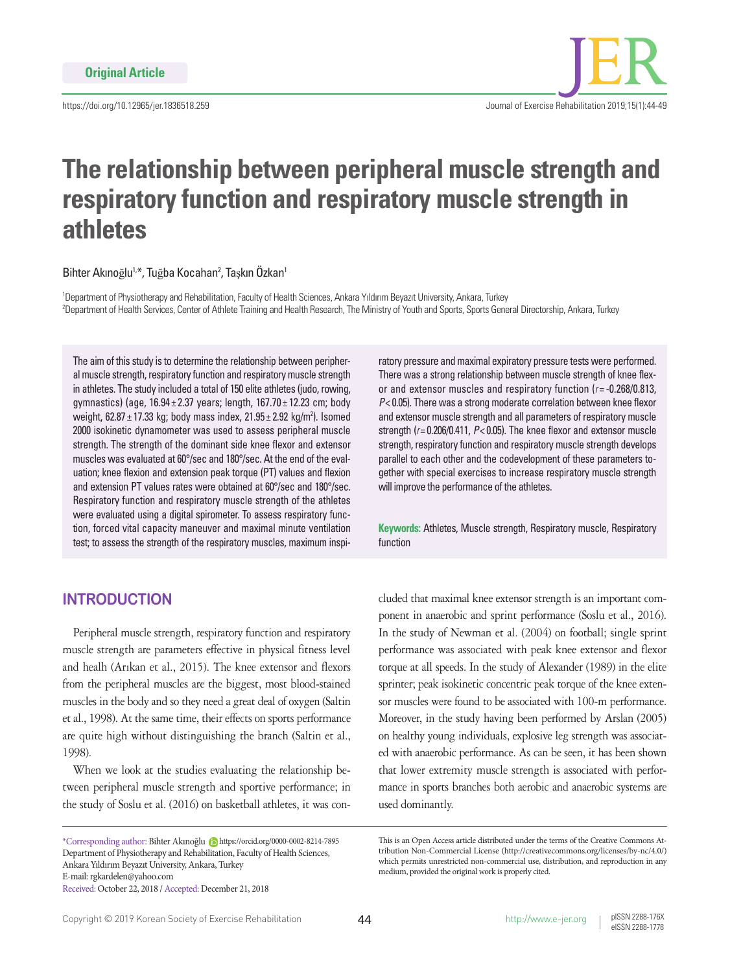https://doi.org/10.12965/jer.1836518.259



# **The relationship between peripheral muscle strength and respiratory function and respiratory muscle strength in athletes**

Bihter Akınoğlu<sup>1,\*</sup>, Tuğba Kocahan<sup>2</sup>, Taşkın Özkan<sup>1</sup>

1 Department of Physiotherapy and Rehabilitation, Faculty of Health Sciences, Ankara Yıldırım Beyazıt University, Ankara, Turkey 2 Department of Health Services, Center of Athlete Training and Health Research, The Ministry of Youth and Sports, Sports General Directorship, Ankara, Turkey

The aim of this study is to determine the relationship between peripheral muscle strength, respiratory function and respiratory muscle strength in athletes. The study included a total of 150 elite athletes (judo, rowing, gymnastics) (age, 16.94 ± 2.37 years; length, 167.70 ± 12.23 cm; body weight, 62.87 $\pm$ 17.33 kg; body mass index, 21.95 $\pm$ 2.92 kg/m<sup>2</sup>). Isomed 2000 isokinetic dynamometer was used to assess peripheral muscle strength. The strength of the dominant side knee flexor and extensor muscles was evaluated at 60°/sec and 180°/sec. At the end of the evaluation; knee flexion and extension peak torque (PT) values and flexion and extension PT values rates were obtained at 60°/sec and 180°/sec. Respiratory function and respiratory muscle strength of the athletes were evaluated using a digital spirometer. To assess respiratory function, forced vital capacity maneuver and maximal minute ventilation test; to assess the strength of the respiratory muscles, maximum inspi-

# **INTRODUCTION**

Peripheral muscle strength, respiratory function and respiratory muscle strength are parameters effective in physical fitness level and healh (Arıkan et al., 2015). The knee extensor and flexors from the peripheral muscles are the biggest, most blood-stained muscles in the body and so they need a great deal of oxygen (Saltin et al., 1998). At the same time, their effects on sports performance are quite high without distinguishing the branch (Saltin et al., 1998).

When we look at the studies evaluating the relationship between peripheral muscle strength and sportive performance; in the study of Soslu et al. (2016) on basketball athletes, it was con-

ratory pressure and maximal expiratory pressure tests were performed. There was a strong relationship between muscle strength of knee flexor and extensor muscles and respiratory function (*r*= -0.268/0.813, *P*< 0.05). There was a strong moderate correlation between knee flexor and extensor muscle strength and all parameters of respiratory muscle strength (*r*= 0.206/0.411, *P*< 0.05). The knee flexor and extensor muscle strength, respiratory function and respiratory muscle strength develops parallel to each other and the codevelopment of these parameters together with special exercises to increase respiratory muscle strength will improve the performance of the athletes.

**Keywords:** Athletes, Muscle strength, Respiratory muscle, Respiratory function

cluded that maximal knee extensor strength is an important component in anaerobic and sprint performance (Soslu et al., 2016). In the study of Newman et al. (2004) on football; single sprint performance was associated with peak knee extensor and flexor torque at all speeds. In the study of Alexander (1989) in the elite sprinter; peak isokinetic concentric peak torque of the knee extensor muscles were found to be associated with 100-m performance. Moreover, in the study having been performed by Arslan (2005) on healthy young individuals, explosive leg strength was associated with anaerobic performance. As can be seen, it has been shown that lower extremity muscle strength is associated with performance in sports branches both aerobic and anaerobic systems are used dominantly.

<sup>\*</sup>Corresponding author: Bihter Akınoğlu https://orcid.org/0000-0002-8214-7895 Department of Physiotherapy and Rehabilitation, Faculty of Health Sciences, Ankara Yıldırım Beyazıt University, Ankara, Turkey E-mail: rgkardelen@yahoo.com Received: October 22, 2018 / Accepted: December 21, 2018

This is an Open Access article distributed under the terms of the Creative Commons Attribution Non-Commercial License (http://creativecommons.org/licenses/by-nc/4.0/) which permits unrestricted non-commercial use, distribution, and reproduction in any medium, provided the original work is properly cited.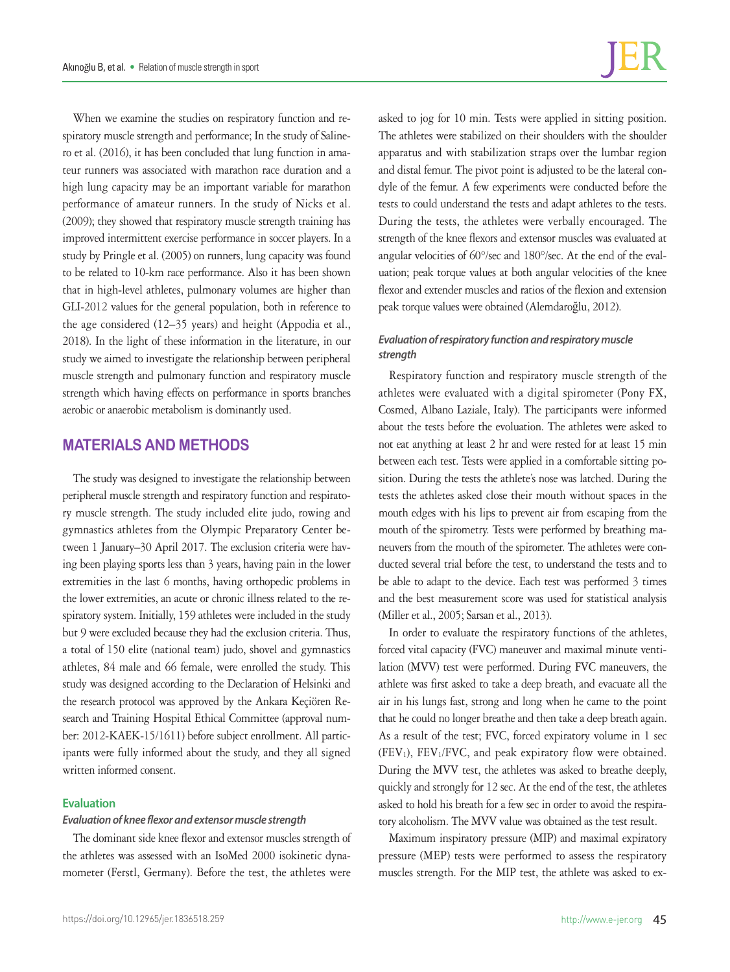When we examine the studies on respiratory function and respiratory muscle strength and performance; In the study of Salinero et al. (2016), it has been concluded that lung function in amateur runners was associated with marathon race duration and a high lung capacity may be an important variable for marathon performance of amateur runners. In the study of Nicks et al. (2009); they showed that respiratory muscle strength training has improved intermittent exercise performance in soccer players. In a study by Pringle et al. (2005) on runners, lung capacity was found to be related to 10-km race performance. Also it has been shown that in high-level athletes, pulmonary volumes are higher than GLI-2012 values for the general population, both in reference to the age considered (12–35 years) and height (Appodia et al., 2018). In the light of these information in the literature, in our study we aimed to investigate the relationship between peripheral muscle strength and pulmonary function and respiratory muscle strength which having effects on performance in sports branches aerobic or anaerobic metabolism is dominantly used.

## **MATERIALS AND METHODS**

The study was designed to investigate the relationship between peripheral muscle strength and respiratory function and respiratory muscle strength. The study included elite judo, rowing and gymnastics athletes from the Olympic Preparatory Center between 1 January–30 April 2017. The exclusion criteria were having been playing sports less than 3 years, having pain in the lower extremities in the last 6 months, having orthopedic problems in the lower extremities, an acute or chronic illness related to the respiratory system. Initially, 159 athletes were included in the study but 9 were excluded because they had the exclusion criteria. Thus, a total of 150 elite (national team) judo, shovel and gymnastics athletes, 84 male and 66 female, were enrolled the study. This study was designed according to the Declaration of Helsinki and the research protocol was approved by the Ankara Keçiören Research and Training Hospital Ethical Committee (approval number: 2012-KAEK-15/1611) before subject enrollment. All participants were fully informed about the study, and they all signed written informed consent.

#### **Evaluation**

#### *Evaluation of knee flexor and extensor muscle strength*

The dominant side knee flexor and extensor muscles strength of the athletes was assessed with an IsoMed 2000 isokinetic dynamometer (Ferstl, Germany). Before the test, the athletes were

asked to jog for 10 min. Tests were applied in sitting position. The athletes were stabilized on their shoulders with the shoulder apparatus and with stabilization straps over the lumbar region and distal femur. The pivot point is adjusted to be the lateral condyle of the femur. A few experiments were conducted before the tests to could understand the tests and adapt athletes to the tests. During the tests, the athletes were verbally encouraged. The strength of the knee flexors and extensor muscles was evaluated at angular velocities of 60°/sec and 180°/sec. At the end of the evaluation; peak torque values at both angular velocities of the knee flexor and extender muscles and ratios of the flexion and extension peak torque values were obtained (Alemdaroğlu, 2012).

#### *Evaluation of respiratory function and respiratory muscle strength*

Respiratory function and respiratory muscle strength of the athletes were evaluated with a digital spirometer (Pony FX, Cosmed, Albano Laziale, Italy). The participants were informed about the tests before the evoluation. The athletes were asked to not eat anything at least 2 hr and were rested for at least 15 min between each test. Tests were applied in a comfortable sitting position. During the tests the athlete's nose was latched. During the tests the athletes asked close their mouth without spaces in the mouth edges with his lips to prevent air from escaping from the mouth of the spirometry. Tests were performed by breathing maneuvers from the mouth of the spirometer. The athletes were conducted several trial before the test, to understand the tests and to be able to adapt to the device. Each test was performed 3 times and the best measurement score was used for statistical analysis (Miller et al., 2005; Sarsan et al., 2013).

In order to evaluate the respiratory functions of the athletes, forced vital capacity (FVC) maneuver and maximal minute ventilation (MVV) test were performed. During FVC maneuvers, the athlete was first asked to take a deep breath, and evacuate all the air in his lungs fast, strong and long when he came to the point that he could no longer breathe and then take a deep breath again. As a result of the test; FVC, forced expiratory volume in 1 sec (FEV<sub>1</sub>), FEV<sub>1</sub>/FVC, and peak expiratory flow were obtained. During the MVV test, the athletes was asked to breathe deeply, quickly and strongly for 12 sec. At the end of the test, the athletes asked to hold his breath for a few sec in order to avoid the respiratory alcoholism. The MVV value was obtained as the test result.

Maximum inspiratory pressure (MIP) and maximal expiratory pressure (MEP) tests were performed to assess the respiratory muscles strength. For the MIP test, the athlete was asked to ex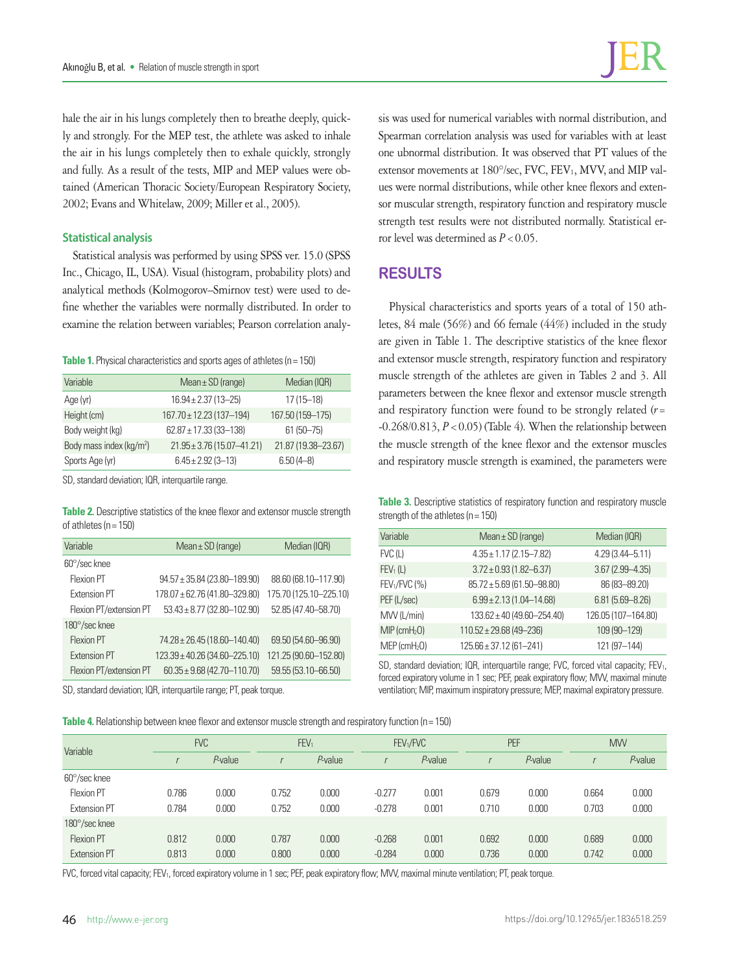hale the air in his lungs completely then to breathe deeply, quickly and strongly. For the MEP test, the athlete was asked to inhale the air in his lungs completely then to exhale quickly, strongly and fully. As a result of the tests, MIP and MEP values were obtained (American Thoracic Society/European Respiratory Society, 2002; Evans and Whitelaw, 2009; Miller et al., 2005).

#### **Statistical analysis**

Statistical analysis was performed by using SPSS ver. 15.0 (SPSS Inc., Chicago, IL, USA). Visual (histogram, probability plots) and analytical methods (Kolmogorov–Smirnov test) were used to define whether the variables were normally distributed. In order to examine the relation between variables; Pearson correlation analy-

#### **Table 1.** Physical characteristics and sports ages of athletes (n = 150)

| Variable                             | Mean $\pm$ SD (range)          | Median (IQR)        |  |  |
|--------------------------------------|--------------------------------|---------------------|--|--|
| Age (yr)                             | $16.94 \pm 2.37(13 - 25)$      | $17(15 - 18)$       |  |  |
| Height (cm)                          | 167.70 ± 12.23 (137-194)       | 167.50 (159-175)    |  |  |
| Body weight (kg)                     | $62.87 \pm 17.33(33 - 138)$    | $61(50 - 75)$       |  |  |
| Body mass index (kg/m <sup>2</sup> ) | $21.95 \pm 3.76$ (15.07-41.21) | 21.87 (19.38-23.67) |  |  |
| Sports Age (yr)                      | $6.45 \pm 2.92$ (3-13)         | $6.50(4-8)$         |  |  |

SD, standard deviation; IQR, interquartile range.

**Table 2.** Descriptive statistics of the knee flexor and extensor muscle strength of athletes (n= 150)

| Variable                | Mean $\pm$ SD (range)            | Median (IQR)           |  |  |
|-------------------------|----------------------------------|------------------------|--|--|
| $60^{\circ}/sec$ knee   |                                  |                        |  |  |
| Flexion PT              | $94.57 \pm 35.84$ (23.80-189.90) | 88.60 (68.10-117.90)   |  |  |
| Extension PT            | 178.07 ± 62.76 (41.80-329.80)    | 175.70 (125.10-225.10) |  |  |
| Flexion PT/extension PT | $53.43 \pm 8.77$ (32.80-102.90)  | 52.85 (47.40-58.70)    |  |  |
| 180°/sec knee           |                                  |                        |  |  |
| Flexion PT              | 74.28 ± 26.45 (18.60-140.40)     | 69.50 (54.60-96.90)    |  |  |
| <b>Extension PT</b>     | 123.39 ± 40.26 (34.60-225.10)    | 121.25 (90.60-152.80)  |  |  |
| Flexion PT/extension PT | $60.35 \pm 9.68$ (42.70-110.70)  | 59.55 (53.10-66.50)    |  |  |

SD, standard deviation; IQR, interquartile range; PT, peak torque.

**Table 4.** Relationship between knee flexor and extensor muscle strength and respiratory function (n= 150)

sis was used for numerical variables with normal distribution, and Spearman correlation analysis was used for variables with at least one ubnormal distribution. It was observed that PT values of the extensor movements at 180°/sec, FVC, FEV<sub>1</sub>, MVV, and MIP values were normal distributions, while other knee flexors and extensor muscular strength, respiratory function and respiratory muscle strength test results were not distributed normally. Statistical error level was determined as *P*<0.05.

## **RESULTS**

Physical characteristics and sports years of a total of 150 athletes, 84 male (56%) and 66 female (44%) included in the study are given in Table 1. The descriptive statistics of the knee flexor and extensor muscle strength, respiratory function and respiratory muscle strength of the athletes are given in Tables 2 and 3. All parameters between the knee flexor and extensor muscle strength and respiratory function were found to be strongly related (*r*=  $-0.268/0.813$ ,  $P < 0.05$ ) (Table 4). When the relationship between the muscle strength of the knee flexor and the extensor muscles and respiratory muscle strength is examined, the parameters were

**Table 3.** Descriptive statistics of respiratory function and respiratory muscle strength of the athletes ( $n = 150$ )

| Variable                   | Mean $\pm$ SD (range)            | Median (IQR)        |
|----------------------------|----------------------------------|---------------------|
| $FVC$ (L)                  | $4.35 \pm 1.17$ (2.15-7.82)      | 4.29 (3.44-5.11)    |
| FEV <sub>1</sub> (L)       | $3.72 \pm 0.93$ (1.82-6.37)      | $3.67(2.99 - 4.35)$ |
| $FEV1/FVC$ (%)             | $85.72 \pm 5.69$ (61.50-98.80)   | 86 (83-89.20)       |
| PEF (L/sec)                | $6.99 \pm 2.13(1.04 - 14.68)$    | $6.81(5.69 - 8.26)$ |
| MVV (L/min)                | $133.62 \pm 40 (49.60 - 254.40)$ | 126.05 (107-164.80) |
| $MIP$ (cmH <sub>2</sub> O) | $110.52 \pm 29.68$ (49-236)      | 109 (90-129)        |
| $MEP$ (cm $H_2O$ )         | $125.66 \pm 37.12(61 - 241)$     | 121 (97-144)        |
|                            |                                  |                     |

SD, standard deviation; IQR, interquartile range; FVC, forced vital capacity; FEV<sub>1</sub>, forced expiratory volume in 1 sec; PEF, peak expiratory flow; MVV, maximal minute ventilation; MIP, maximum inspiratory pressure; MEP, maximal expiratory pressure.

| Variable              | <b>FVC</b> |            |       | FEV <sub>1</sub> |          | FEV <sub>1</sub> /FVC |       | PEF        |       | <b>MW</b>  |  |
|-----------------------|------------|------------|-------|------------------|----------|-----------------------|-------|------------|-------|------------|--|
|                       |            | $P$ -value |       | $P$ -value       |          | $P$ -value            |       | $P$ -value |       | $P$ -value |  |
| $60^{\circ}/sec$ knee |            |            |       |                  |          |                       |       |            |       |            |  |
| Flexion PT            | 0.786      | 0.000      | 0.752 | 0.000            | $-0.277$ | 0.001                 | 0.679 | 0.000      | 0.664 | 0.000      |  |
| Extension PT          | 0.784      | 0.000      | 0.752 | 0.000            | $-0.278$ | 0.001                 | 0.710 | 0.000      | 0.703 | 0.000      |  |
| 180°/sec knee         |            |            |       |                  |          |                       |       |            |       |            |  |
| <b>Flexion PT</b>     | 0.812      | 0.000      | 0.787 | 0.000            | $-0.268$ | 0.001                 | 0.692 | 0.000      | 0.689 | 0.000      |  |
| Extension PT          | 0.813      | 0.000      | 0.800 | 0.000            | $-0.284$ | 0.000                 | 0.736 | 0.000      | 0.742 | 0.000      |  |

FVC, forced vital capacity; FEV<sub>1</sub>, forced expiratory volume in 1 sec; PEF, peak expiratory flow; MVV, maximal minute ventilation; PT, peak torque.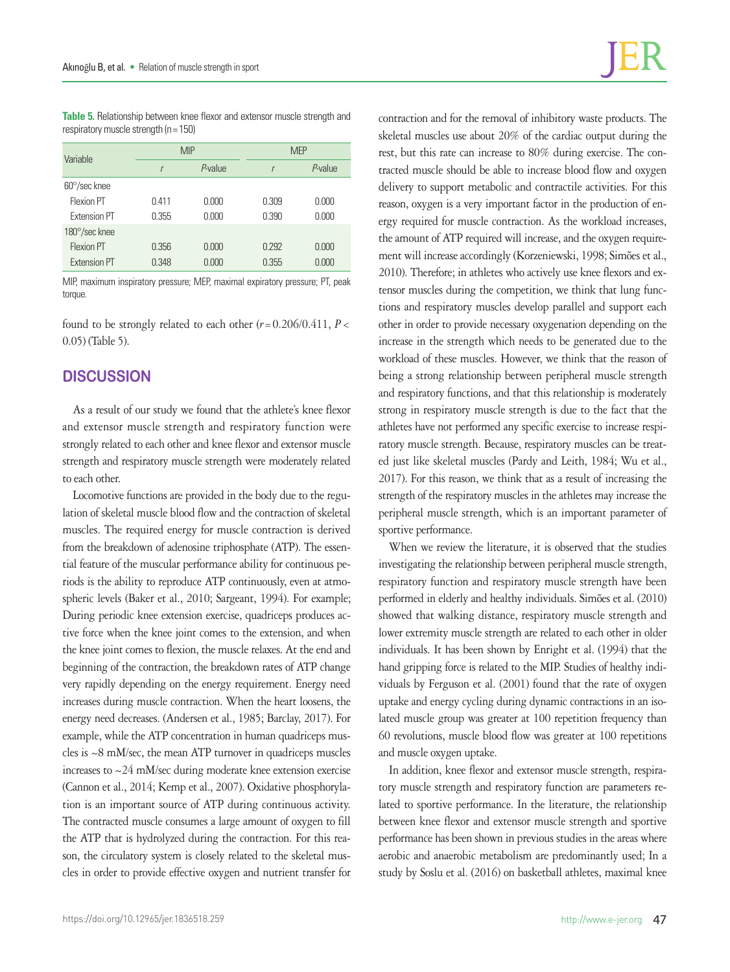**Table 5.** Relationship between knee flexor and extensor muscle strength and respiratory muscle strength  $(n = 150)$ 

| Variable              |              | <b>MIP</b> | <b>MEP</b> |         |  |
|-----------------------|--------------|------------|------------|---------|--|
|                       | $\mathsf{r}$ | P-value    |            | P-value |  |
| $60^{\circ}/sec$ knee |              |            |            |         |  |
| Flexion PT            | 0.411        | 0.000      | 0.309      | 0.000   |  |
| <b>Extension PT</b>   | 0.355        | 0.000      | 0.390      | 0.000   |  |
| 180°/sec knee         |              |            |            |         |  |
| Flexion PT            | 0.356        | 0.000      | 0.292      | 0.000   |  |
| <b>Extension PT</b>   | 0.348        | 0.000      | 0.355      | 0.000   |  |

MIP, maximum inspiratory pressure; MEP, maximal expiratory pressure; PT, peak torque.

found to be strongly related to each other (*r*=0.206/0.411, *P*< 0.05) (Table 5).

## **DISCUSSION**

As a result of our study we found that the athlete's knee flexor and extensor muscle strength and respiratory function were strongly related to each other and knee flexor and extensor muscle strength and respiratory muscle strength were moderately related to each other.

Locomotive functions are provided in the body due to the regulation of skeletal muscle blood flow and the contraction of skeletal muscles. The required energy for muscle contraction is derived from the breakdown of adenosine triphosphate (ATP). The essential feature of the muscular performance ability for continuous periods is the ability to reproduce ATP continuously, even at atmospheric levels (Baker et al., 2010; Sargeant, 1994). For example; During periodic knee extension exercise, quadriceps produces active force when the knee joint comes to the extension, and when the knee joint comes to flexion, the muscle relaxes. At the end and beginning of the contraction, the breakdown rates of ATP change very rapidly depending on the energy requirement. Energy need increases during muscle contraction. When the heart loosens, the energy need decreases. (Andersen et al., 1985; Barclay, 2017). For example, while the ATP concentration in human quadriceps muscles is ~8 mM/sec, the mean ATP turnover in quadriceps muscles increases to ~24 mM/sec during moderate knee extension exercise (Cannon et al., 2014; Kemp et al., 2007). Oxidative phosphorylation is an important source of ATP during continuous activity. The contracted muscle consumes a large amount of oxygen to fill the ATP that is hydrolyzed during the contraction. For this reason, the circulatory system is closely related to the skeletal muscles in order to provide effective oxygen and nutrient transfer for contraction and for the removal of inhibitory waste products. The skeletal muscles use about 20% of the cardiac output during the rest, but this rate can increase to 80% during exercise. The contracted muscle should be able to increase blood flow and oxygen delivery to support metabolic and contractile activities. For this reason, oxygen is a very important factor in the production of energy required for muscle contraction. As the workload increases, the amount of ATP required will increase, and the oxygen requirement will increase accordingly (Korzeniewski, 1998; Simões et al., 2010). Therefore; in athletes who actively use knee flexors and extensor muscles during the competition, we think that lung functions and respiratory muscles develop parallel and support each other in order to provide necessary oxygenation depending on the increase in the strength which needs to be generated due to the workload of these muscles. However, we think that the reason of being a strong relationship between peripheral muscle strength and respiratory functions, and that this relationship is moderately strong in respiratory muscle strength is due to the fact that the athletes have not performed any specific exercise to increase respiratory muscle strength. Because, respiratory muscles can be treated just like skeletal muscles (Pardy and Leith, 1984; Wu et al., 2017). For this reason, we think that as a result of increasing the strength of the respiratory muscles in the athletes may increase the peripheral muscle strength, which is an important parameter of sportive performance.

When we review the literature, it is observed that the studies investigating the relationship between peripheral muscle strength, respiratory function and respiratory muscle strength have been performed in elderly and healthy individuals. Simões et al. (2010) showed that walking distance, respiratory muscle strength and lower extremity muscle strength are related to each other in older individuals. It has been shown by Enright et al. (1994) that the hand gripping force is related to the MIP. Studies of healthy individuals by Ferguson et al. (2001) found that the rate of oxygen uptake and energy cycling during dynamic contractions in an isolated muscle group was greater at 100 repetition frequency than 60 revolutions, muscle blood flow was greater at 100 repetitions and muscle oxygen uptake.

In addition, knee flexor and extensor muscle strength, respiratory muscle strength and respiratory function are parameters related to sportive performance. In the literature, the relationship between knee flexor and extensor muscle strength and sportive performance has been shown in previous studies in the areas where aerobic and anaerobic metabolism are predominantly used; In a study by Soslu et al. (2016) on basketball athletes, maximal knee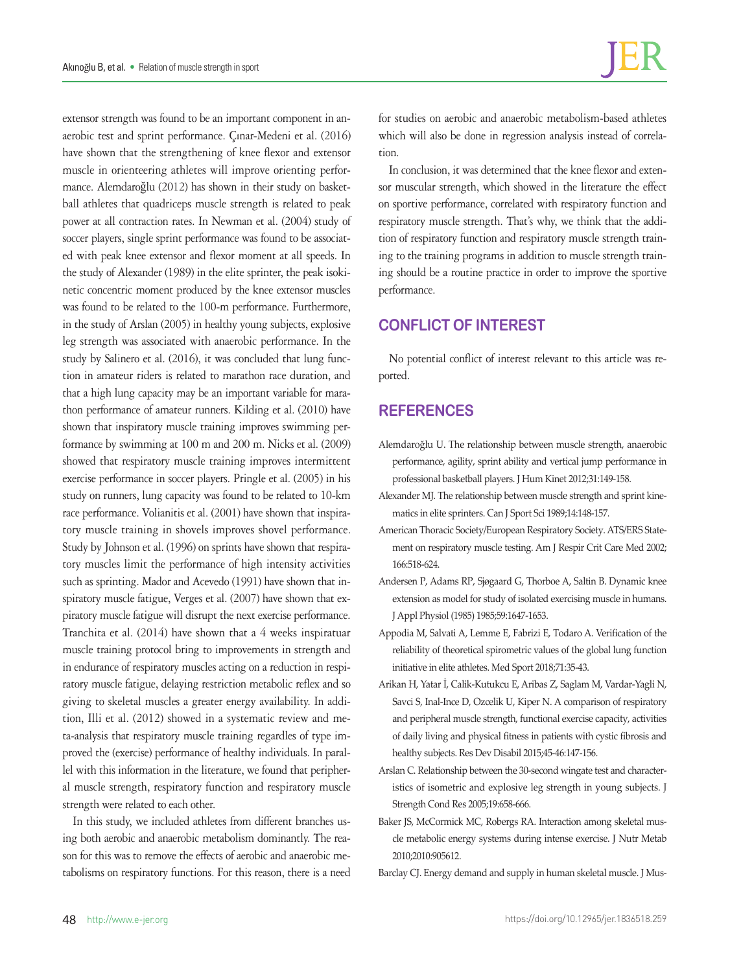extensor strength was found to be an important component in anaerobic test and sprint performance. Çınar-Medeni et al. (2016) have shown that the strengthening of knee flexor and extensor muscle in orienteering athletes will improve orienting performance. Alemdaroğlu (2012) has shown in their study on basketball athletes that quadriceps muscle strength is related to peak power at all contraction rates. In Newman et al. (2004) study of soccer players, single sprint performance was found to be associated with peak knee extensor and flexor moment at all speeds. In the study of Alexander (1989) in the elite sprinter, the peak isokinetic concentric moment produced by the knee extensor muscles was found to be related to the 100-m performance. Furthermore, in the study of Arslan (2005) in healthy young subjects, explosive leg strength was associated with anaerobic performance. In the study by Salinero et al. (2016), it was concluded that lung function in amateur riders is related to marathon race duration, and that a high lung capacity may be an important variable for marathon performance of amateur runners. Kilding et al. (2010) have shown that inspiratory muscle training improves swimming performance by swimming at 100 m and 200 m. Nicks et al. (2009) showed that respiratory muscle training improves intermittent exercise performance in soccer players. Pringle et al. (2005) in his study on runners, lung capacity was found to be related to 10-km race performance. Volianitis et al. (2001) have shown that inspiratory muscle training in shovels improves shovel performance. Study by Johnson et al. (1996) on sprints have shown that respiratory muscles limit the performance of high intensity activities such as sprinting. Mador and Acevedo (1991) have shown that inspiratory muscle fatigue, Verges et al. (2007) have shown that expiratory muscle fatigue will disrupt the next exercise performance. Tranchita et al. (2014) have shown that a 4 weeks inspiratuar muscle training protocol bring to improvements in strength and in endurance of respiratory muscles acting on a reduction in respiratory muscle fatigue, delaying restriction metabolic reflex and so giving to skeletal muscles a greater energy availability. In addition, Illi et al. (2012) showed in a systematic review and meta-analysis that respiratory muscle training regardles of type improved the (exercise) performance of healthy individuals. In parallel with this information in the literature, we found that peripheral muscle strength, respiratory function and respiratory muscle strength were related to each other.

In this study, we included athletes from different branches using both aerobic and anaerobic metabolism dominantly. The reason for this was to remove the effects of aerobic and anaerobic metabolisms on respiratory functions. For this reason, there is a need

for studies on aerobic and anaerobic metabolism-based athletes which will also be done in regression analysis instead of correlation.

In conclusion, it was determined that the knee flexor and extensor muscular strength, which showed in the literature the effect on sportive performance, correlated with respiratory function and respiratory muscle strength. That's why, we think that the addition of respiratory function and respiratory muscle strength training to the training programs in addition to muscle strength training should be a routine practice in order to improve the sportive performance.

# **CONFLICT OF INTEREST**

No potential conflict of interest relevant to this article was reported.

# **REFERENCES**

- Alemdaroğlu U. The relationship between muscle strength, anaerobic performance, agility, sprint ability and vertical jump performance in professional basketball players. J Hum Kinet 2012;31:149-158.
- Alexander MJ. The relationship between muscle strength and sprint kinematics in elite sprinters. Can J Sport Sci 1989;14:148-157.
- American Thoracic Society/European Respiratory Society. ATS/ERS Statement on respiratory muscle testing. Am J Respir Crit Care Med 2002; 166:518-624.
- Andersen P, Adams RP, Sjøgaard G, Thorboe A, Saltin B. Dynamic knee extension as model for study of isolated exercising muscle in humans. J Appl Physiol (1985) 1985;59:1647-1653.
- Appodia M, Salvati A, Lemme E, Fabrizi E, Todaro A. Verification of the reliability of theoretical spirometric values of the global lung function initiative in elite athletes. Med Sport 2018;71:35-43.
- Arikan H, Yatar İ, Calik-Kutukcu E, Aribas Z, Saglam M, Vardar-Yagli N, Savci S, Inal-Ince D, Ozcelik U, Kiper N. A comparison of respiratory and peripheral muscle strength, functional exercise capacity, activities of daily living and physical fitness in patients with cystic fibrosis and healthy subjects. Res Dev Disabil 2015;45-46:147-156.
- Arslan C. Relationship between the 30-second wingate test and characteristics of isometric and explosive leg strength in young subjects. J Strength Cond Res 2005;19:658-666.
- Baker JS, McCormick MC, Robergs RA. Interaction among skeletal muscle metabolic energy systems during intense exercise. J Nutr Metab 2010;2010:905612.
- Barclay CJ. Energy demand and supply in human skeletal muscle. J Mus-